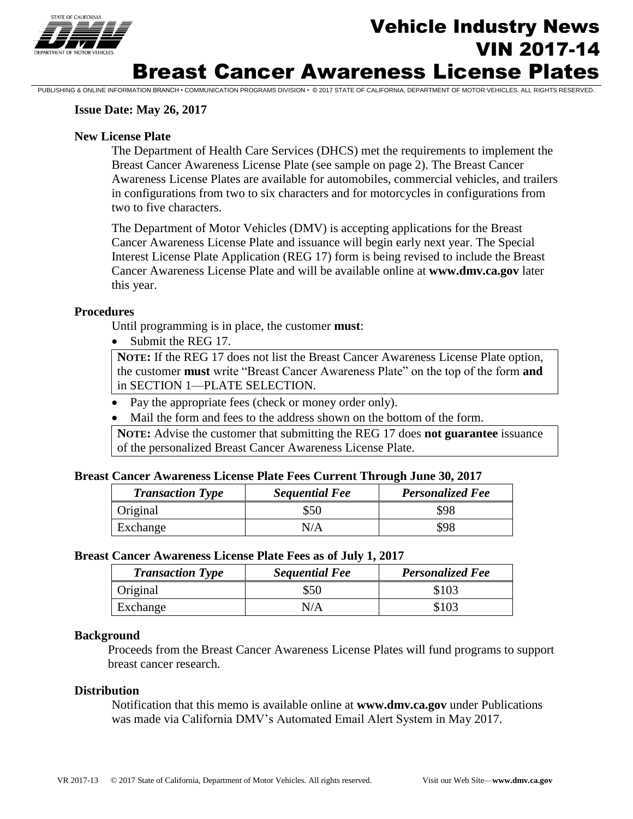

# Vehicle Industry News VIN 2017-14 Breast Cancer Awareness License Plates

#### **Issue Date: May 26, 2017**

#### **New License Plate**

The Department of Health Care Services (DHCS) met the requirements to implement the Breast Cancer Awareness License Plate (see sample on page 2). The Breast Cancer Awareness License Plates are available for automobiles, commercial vehicles, and trailers in configurations from two to six characters and for motorcycles in configurations from two to five characters.

PUBLISHING & ONLINE INFORMATION BRANCH • COMMUNICATION PROGRAMS DIVISION • © 2017 STATE OF CALIFORNIA, DEPARTMENT OF MOTOR VEHICLES. ALL RIGHTS RESERVED.

The Department of Motor Vehicles (DMV) is accepting applications for the Breast Cancer Awareness License Plate and issuance will begin early next year. The Special Interest License Plate Application (REG 17) form is being revised to include the Breast Cancer Awareness License Plate and will be available online at **www.dmv.ca.gov** later this year.

#### **Procedures**

Until programming is in place, the customer **must**:

• Submit the REG 17.

**NOTE:** If the REG 17 does not list the Breast Cancer Awareness License Plate option, the customer **must** write "Breast Cancer Awareness Plate" on the top of the form **and** in SECTION 1—PLATE SELECTION.

- Pay the appropriate fees (check or money order only).
- Mail the form and fees to the address shown on the bottom of the form.

**NOTE:** Advise the customer that submitting the REG 17 does **not guarantee** issuance of the personalized Breast Cancer Awareness License Plate.

#### **Breast Cancer Awareness License Plate Fees Current Through June 30, 2017**

| <b>Transaction Type</b> | <b>Sequential Fee</b> | <b>Personalized Fee</b> |
|-------------------------|-----------------------|-------------------------|
| Original                | \$50                  | \$98                    |
| Exchange                | N/A                   | \$98                    |

#### **Breast Cancer Awareness License Plate Fees as of July 1, 2017**

| <b>Transaction Type</b> | <b>Sequential Fee</b> | <b>Personalized Fee</b> |
|-------------------------|-----------------------|-------------------------|
| Original                | \$50                  | \$103                   |
| Exchange                | N/A                   | \$103                   |

#### **Background**

Proceeds from the Breast Cancer Awareness License Plates will fund programs to support breast cancer research.

#### **Distribution**

Notification that this memo is available online at **www.dmv.ca.gov** under Publications was made via California DMV's Automated Email Alert System in May 2017.